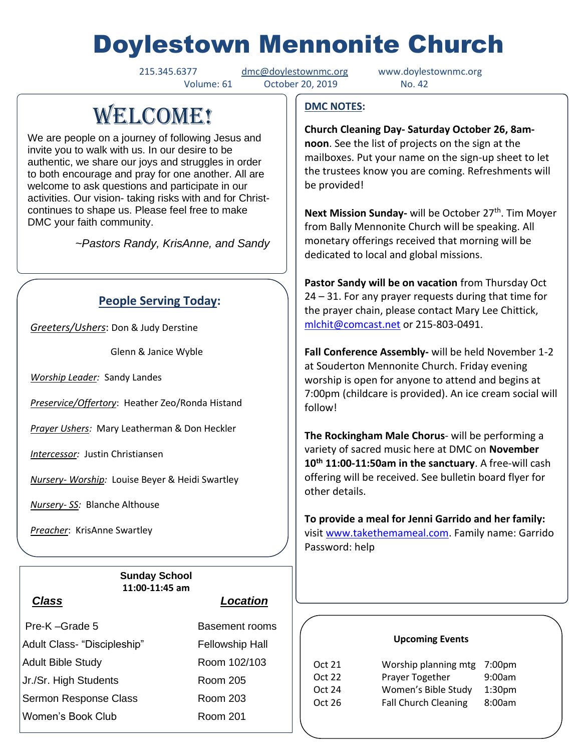# Doylestown Mennonite Church

215.345.6377 [dmc@doylestownmc.org](mailto:dmc@doylestownmc.org) www.doylestownmc.org Volume: 61 October 20, 2019 No. 42

# **WELCOME!**

We are people on a journey of following Jesus and invite you to walk with us. In our desire to be authentic, we share our joys and struggles in order to both encourage and pray for one another. All are welcome to ask questions and participate in our activities. Our vision- taking risks with and for Christcontinues to shape us. Please feel free to make DMC your faith community.

 *~Pastors Randy, KrisAnne, and Sandy*

# **People Serving Today:**

*Greeters/Ushers*: Don & Judy Derstine

Glenn & Janice Wyble

*Worship Leader:* Sandy Landes

*Preservice/Offertory*: Heather Zeo/Ronda Histand

*Prayer Ushers:* Mary Leatherman & Don Heckler

*Intercessor:* Justin Christiansen

*Nursery- Worship:* Louise Beyer & Heidi Swartley

*Nursery- SS:* Blanche Althouse

*Preacher*: KrisAnne Swartley

**Sunday School 11:00-11:45 am**

|                              | Pre-K-Grade 5         |  |  |
|------------------------------|-----------------------|--|--|
| Adult Class- "Discipleship"  |                       |  |  |
|                              | Adult Bible Study     |  |  |
|                              | Jr./Sr. High Students |  |  |
| <b>Sermon Response Class</b> |                       |  |  |
|                              | Women's Book Club     |  |  |

### *Class Location*

Basement rooms Fellowship Hall Room 102/103 Room 205 Room 203 Room 201

### **DMC NOTES:**

**Church Cleaning Day- Saturday October 26, 8amnoon**. See the list of projects on the sign at the mailboxes. Put your name on the sign-up sheet to let the trustees know you are coming. Refreshments will be provided!

**Next Mission Sunday-** will be October 27<sup>th</sup>. Tim Moyer from Bally Mennonite Church will be speaking. All monetary offerings received that morning will be dedicated to local and global missions.

**Pastor Sandy will be on vacation** from Thursday Oct 24 – 31. For any prayer requests during that time for the prayer chain, please contact Mary Lee Chittick, [mlchit@comcast.net](mailto:mlchit@comcast.net) or 215-803-0491.

**Fall Conference Assembly-** will be held November 1-2 at Souderton Mennonite Church. Friday evening worship is open for anyone to attend and begins at 7:00pm (childcare is provided). An ice cream social will follow!

**The Rockingham Male Chorus**- will be performing a variety of sacred music here at DMC on **November 10th 11:00-11:50am in the sanctuary**. A free-will cash offering will be received. See bulletin board flyer for other details.

**To provide a meal for Jenni Garrido and her family:** visit [www.takethemameal.com.](http://www.takethemameal.com/) Family name: Garrido Password: help

#### **Upcoming Events**

| Oct 21 | Worship planning mtg 7:00pm |                    |
|--------|-----------------------------|--------------------|
| Oct 22 | Prayer Together             | 9:00am             |
| Oct 24 | Women's Bible Study         | 1:30 <sub>pm</sub> |
| Oct 26 | <b>Fall Church Cleaning</b> | 8:00am             |